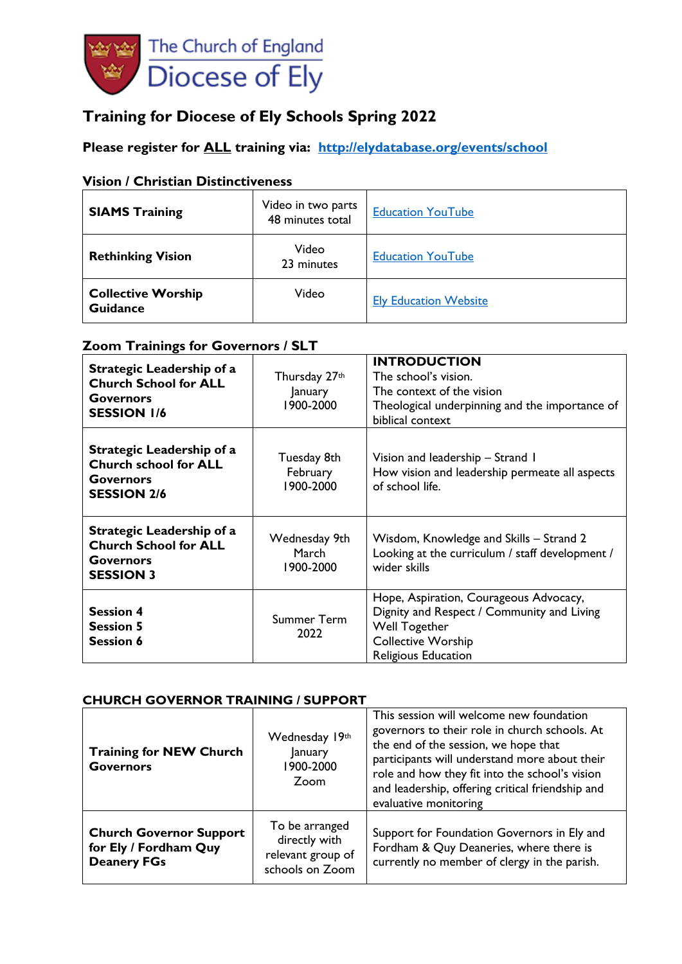

# **Training for Diocese of Ely Schools Spring 2022**

# **Please register for ALL training via: <http://elydatabase.org/events/school>**

## **Vision / Christian Distinctiveness**

| <b>SIAMS Training</b>                        | Video in two parts<br>48 minutes total | <b>Education YouTube</b>     |
|----------------------------------------------|----------------------------------------|------------------------------|
| <b>Rethinking Vision</b>                     | Video<br>23 minutes                    | <b>Education YouTube</b>     |
| <b>Collective Worship</b><br><b>Guidance</b> | Video                                  | <b>Ely Education Website</b> |

## **Zoom Trainings for Governors / SLT**

| Strategic Leadership of a<br><b>Church School for ALL</b><br><b>Governors</b><br><b>SESSION 1/6</b> | Thursday 27th<br>January<br>1900-2000 | <b>INTRODUCTION</b><br>The school's vision.<br>The context of the vision<br>Theological underpinning and the importance of<br>biblical context            |  |
|-----------------------------------------------------------------------------------------------------|---------------------------------------|-----------------------------------------------------------------------------------------------------------------------------------------------------------|--|
| Strategic Leadership of a<br><b>Church school for ALL</b><br><b>Governors</b><br><b>SESSION 2/6</b> | Tuesday 8th<br>February<br>1900-2000  | Vision and leadership - Strand I<br>How vision and leadership permeate all aspects<br>of school life.                                                     |  |
| Strategic Leadership of a<br><b>Church School for ALL</b><br>Governors<br><b>SESSION 3</b>          | Wednesday 9th<br>March<br>1900-2000   | Wisdom, Knowledge and Skills – Strand 2<br>Looking at the curriculum / staff development /<br>wider skills                                                |  |
| <b>Session 4</b><br><b>Session 5</b><br><b>Session 6</b>                                            | Summer Term<br>2022                   | Hope, Aspiration, Courageous Advocacy,<br>Dignity and Respect / Community and Living<br>Well Together<br><b>Collective Worship</b><br>Religious Education |  |

#### **CHURCH GOVERNOR TRAINING / SUPPORT**

| <b>Training for NEW Church</b><br><b>Governors</b>                            | Wednesday 19th<br>January<br>1900-2000<br>Zoom                          | This session will welcome new foundation<br>governors to their role in church schools. At<br>the end of the session, we hope that<br>participants will understand more about their<br>role and how they fit into the school's vision<br>and leadership, offering critical friendship and<br>evaluative monitoring |  |
|-------------------------------------------------------------------------------|-------------------------------------------------------------------------|-------------------------------------------------------------------------------------------------------------------------------------------------------------------------------------------------------------------------------------------------------------------------------------------------------------------|--|
| <b>Church Governor Support</b><br>for Ely / Fordham Quy<br><b>Deanery FGs</b> | To be arranged<br>directly with<br>relevant group of<br>schools on Zoom | Support for Foundation Governors in Ely and<br>Fordham & Quy Deaneries, where there is<br>currently no member of clergy in the parish.                                                                                                                                                                            |  |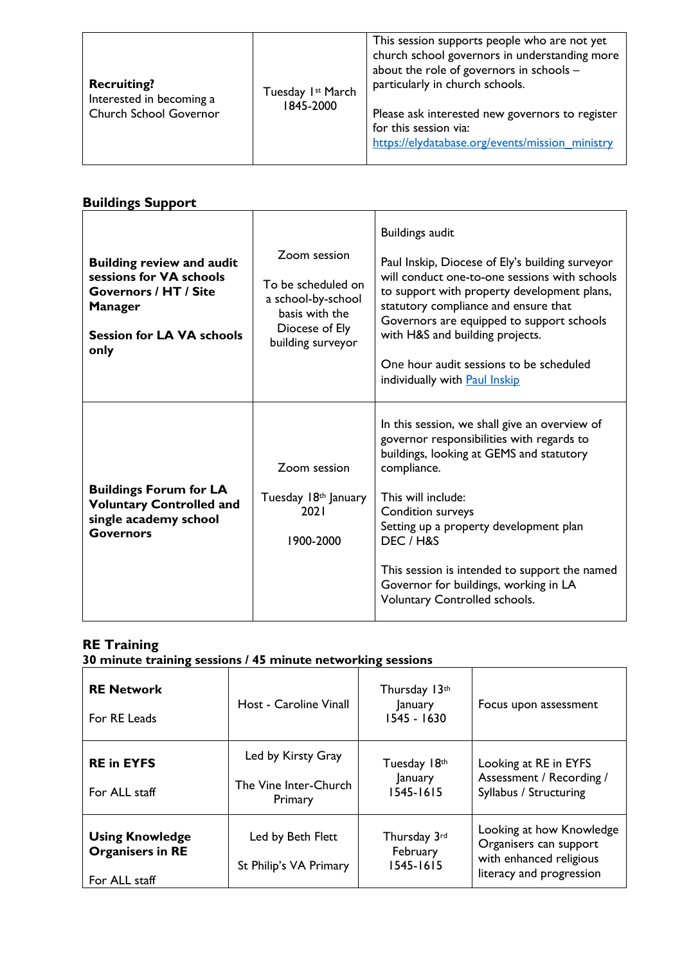| <b>Recruiting?</b><br>Tuesday Ist March<br>Interested in becoming a<br>1845-2000<br>Church School Governor | This session supports people who are not yet<br>church school governors in understanding more<br>about the role of governors in schools -<br>particularly in church schools.<br>Please ask interested new governors to register<br>for this session via:<br>https://elydatabase.org/events/mission_ministry |
|------------------------------------------------------------------------------------------------------------|-------------------------------------------------------------------------------------------------------------------------------------------------------------------------------------------------------------------------------------------------------------------------------------------------------------|
|------------------------------------------------------------------------------------------------------------|-------------------------------------------------------------------------------------------------------------------------------------------------------------------------------------------------------------------------------------------------------------------------------------------------------------|

# **Buildings Support**

| <b>Building review and audit</b><br>sessions for VA schools<br><b>Governors / HT / Site</b><br><b>Manager</b><br><b>Session for LA VA schools</b><br>only | Zoom session<br>To be scheduled on<br>a school-by-school<br>basis with the<br>Diocese of Ely<br>building surveyor | <b>Buildings audit</b><br>Paul Inskip, Diocese of Ely's building surveyor<br>will conduct one-to-one sessions with schools<br>to support with property development plans,<br>statutory compliance and ensure that<br>Governors are equipped to support schools<br>with H&S and building projects.<br>One hour audit sessions to be scheduled<br>individually with <b>Paul Inskip</b> |
|-----------------------------------------------------------------------------------------------------------------------------------------------------------|-------------------------------------------------------------------------------------------------------------------|--------------------------------------------------------------------------------------------------------------------------------------------------------------------------------------------------------------------------------------------------------------------------------------------------------------------------------------------------------------------------------------|
| <b>Buildings Forum for LA</b><br><b>Voluntary Controlled and</b><br>single academy school<br><b>Governors</b>                                             | Zoom session<br>Tuesday 18th January<br>2021<br>1900-2000                                                         | In this session, we shall give an overview of<br>governor responsibilities with regards to<br>buildings, looking at GEMS and statutory<br>compliance.<br>This will include:<br>Condition surveys<br>Setting up a property development plan<br>DEC / H&S<br>This session is intended to support the named<br>Governor for buildings, working in LA<br>Voluntary Controlled schools.   |

## **RE Training**

**30 minute training sessions / 45 minute networking sessions**

| <b>RE Network</b><br>For RE Leads                                  | Host - Caroline Vinall                                 | Thursday 13th<br>January<br>1545 - 1630  | Focus upon assessment                                                                                     |
|--------------------------------------------------------------------|--------------------------------------------------------|------------------------------------------|-----------------------------------------------------------------------------------------------------------|
| <b>RE in EYFS</b><br>For ALL staff                                 | Led by Kirsty Gray<br>The Vine Inter-Church<br>Primary | Tuesday 18th<br>January<br>$1545 - 1615$ | Looking at RE in EYFS<br>Assessment / Recording /<br>Syllabus / Structuring                               |
| <b>Using Knowledge</b><br><b>Organisers in RE</b><br>For ALL staff | Led by Beth Flett<br>St Philip's VA Primary            | Thursday 3rd<br>February<br>1545-1615    | Looking at how Knowledge<br>Organisers can support<br>with enhanced religious<br>literacy and progression |